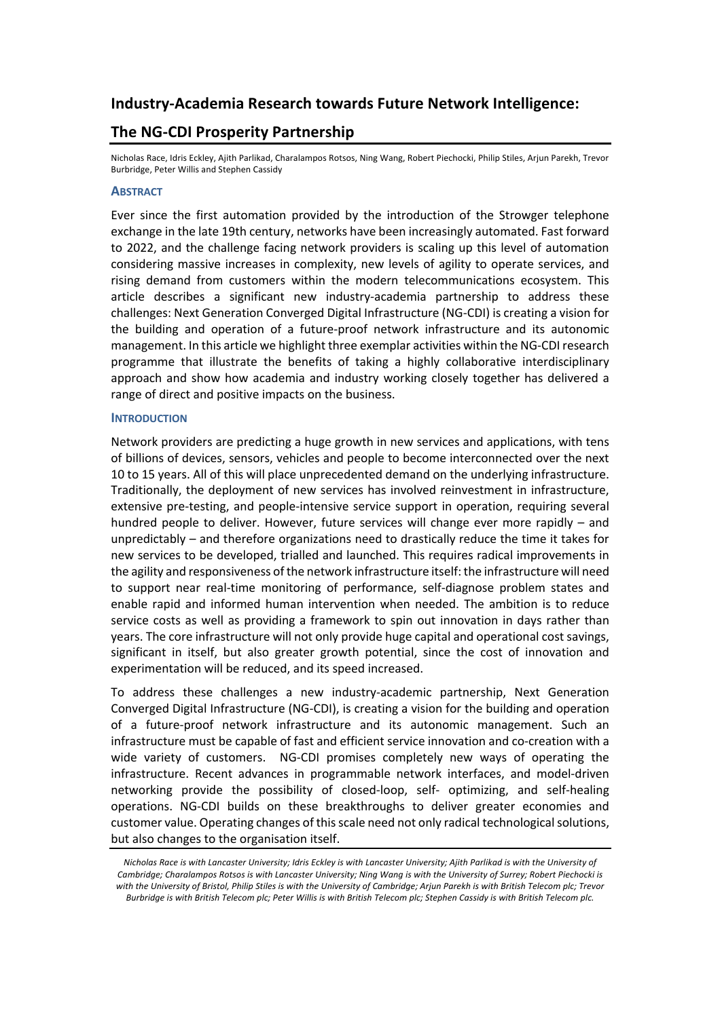# **Industry-Academia Research towards Future Network Intelligence:**

# **The NG-CDI Prosperity Partnership**

Nicholas Race, Idris Eckley, Ajith Parlikad, Charalampos Rotsos, Ning Wang, Robert Piechocki, Philip Stiles, Arjun Parekh, Trevor Burbridge, Peter Willis and Stephen Cassidy

## **ABSTRACT**

Ever since the first automation provided by the introduction of the Strowger telephone exchange in the late 19th century, networks have been increasingly automated. Fast forward to 2022, and the challenge facing network providers is scaling up this level of automation considering massive increases in complexity, new levels of agility to operate services, and rising demand from customers within the modern telecommunications ecosystem. This article describes a significant new industry-academia partnership to address these challenges: Next Generation Converged Digital Infrastructure (NG-CDI) is creating a vision for the building and operation of a future-proof network infrastructure and its autonomic management. In this article we highlight three exemplar activities within the NG-CDI research programme that illustrate the benefits of taking a highly collaborative interdisciplinary approach and show how academia and industry working closely together has delivered a range of direct and positive impacts on the business.

## **INTRODUCTION**

Network providers are predicting a huge growth in new services and applications, with tens of billions of devices, sensors, vehicles and people to become interconnected over the next 10 to 15 years. All of this will place unprecedented demand on the underlying infrastructure. Traditionally, the deployment of new services has involved reinvestment in infrastructure, extensive pre-testing, and people-intensive service support in operation, requiring several hundred people to deliver. However, future services will change ever more rapidly – and unpredictably – and therefore organizations need to drastically reduce the time it takes for new services to be developed, trialled and launched. This requires radical improvements in the agility and responsiveness of the network infrastructure itself: the infrastructure will need to support near real-time monitoring of performance, self-diagnose problem states and enable rapid and informed human intervention when needed. The ambition is to reduce service costs as well as providing a framework to spin out innovation in days rather than years. The core infrastructure will not only provide huge capital and operational cost savings, significant in itself, but also greater growth potential, since the cost of innovation and experimentation will be reduced, and its speed increased.

To address these challenges a new industry-academic partnership, Next Generation Converged Digital Infrastructure (NG-CDI), is creating a vision for the building and operation of a future-proof network infrastructure and its autonomic management. Such an infrastructure must be capable of fast and efficient service innovation and co-creation with a wide variety of customers. NG-CDI promises completely new ways of operating the infrastructure. Recent advances in programmable network interfaces, and model-driven networking provide the possibility of closed-loop, self- optimizing, and self-healing operations. NG-CDI builds on these breakthroughs to deliver greater economies and customer value. Operating changes of this scale need not only radical technological solutions, but also changes to the organisation itself.

*Nicholas Race is with Lancaster University; Idris Eckley is with Lancaster University; Ajith Parlikad is with the University of Cambridge; Charalampos Rotsos is with Lancaster University; Ning Wang is with the University of Surrey; Robert Piechocki is with the University of Bristol, Philip Stiles is with the University of Cambridge; Arjun Parekh is with British Telecom plc; Trevor Burbridge is with British Telecom plc; Peter Willis is with British Telecom plc; Stephen Cassidy is with British Telecom plc.*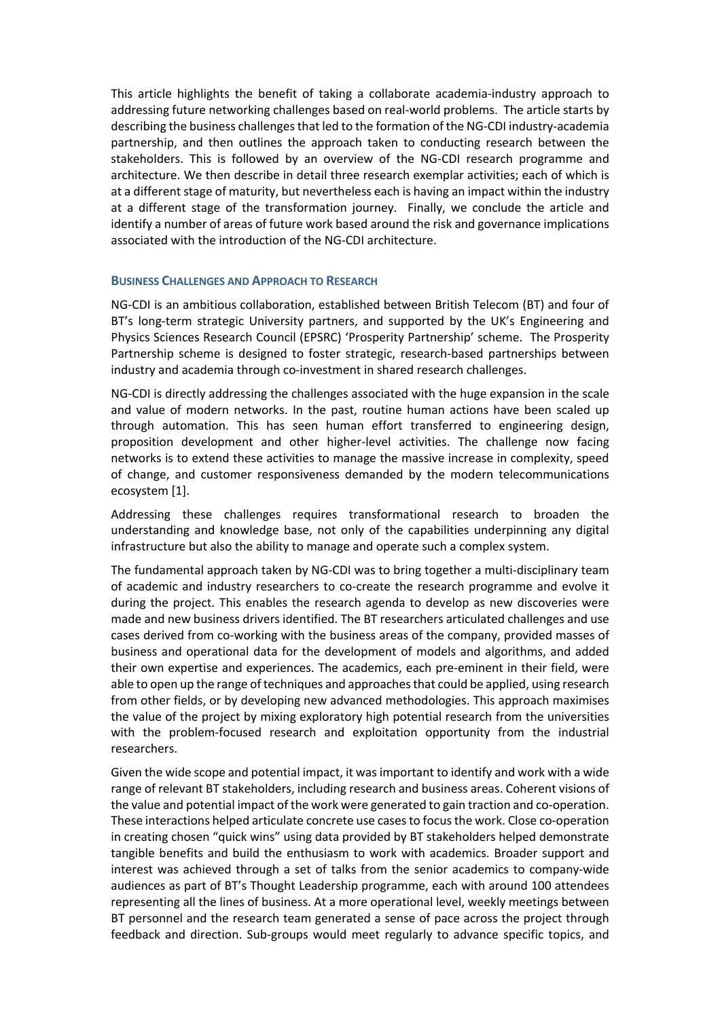This article highlights the benefit of taking a collaborate academia-industry approach to addressing future networking challenges based on real-world problems. The article starts by describing the business challenges that led to the formation of the NG-CDI industry-academia partnership, and then outlines the approach taken to conducting research between the stakeholders. This is followed by an overview of the NG-CDI research programme and architecture. We then describe in detail three research exemplar activities; each of which is at a different stage of maturity, but nevertheless each is having an impact within the industry at a different stage of the transformation journey. Finally, we conclude the article and identify a number of areas of future work based around the risk and governance implications associated with the introduction of the NG-CDI architecture.

## **BUSINESS CHALLENGES AND APPROACH TO RESEARCH**

NG-CDI is an ambitious collaboration, established between British Telecom (BT) and four of BT's long-term strategic University partners, and supported by the UK's Engineering and Physics Sciences Research Council (EPSRC) 'Prosperity Partnership' scheme. The Prosperity Partnership scheme is designed to foster strategic, research-based partnerships between industry and academia through co-investment in shared research challenges.

NG-CDI is directly addressing the challenges associated with the huge expansion in the scale and value of modern networks. In the past, routine human actions have been scaled up through automation. This has seen human effort transferred to engineering design, proposition development and other higher-level activities. The challenge now facing networks is to extend these activities to manage the massive increase in complexity, speed of change, and customer responsiveness demanded by the modern telecommunications ecosystem [1].

Addressing these challenges requires transformational research to broaden the understanding and knowledge base, not only of the capabilities underpinning any digital infrastructure but also the ability to manage and operate such a complex system.

The fundamental approach taken by NG-CDI was to bring together a multi-disciplinary team of academic and industry researchers to co-create the research programme and evolve it during the project. This enables the research agenda to develop as new discoveries were made and new business drivers identified. The BT researchers articulated challenges and use cases derived from co-working with the business areas of the company, provided masses of business and operational data for the development of models and algorithms, and added their own expertise and experiences. The academics, each pre-eminent in their field, were able to open up the range of techniques and approaches that could be applied, using research from other fields, or by developing new advanced methodologies. This approach maximises the value of the project by mixing exploratory high potential research from the universities with the problem-focused research and exploitation opportunity from the industrial researchers.

Given the wide scope and potential impact, it was important to identify and work with a wide range of relevant BT stakeholders, including research and business areas. Coherent visions of the value and potential impact of the work were generated to gain traction and co-operation. These interactions helped articulate concrete use cases to focus the work. Close co-operation in creating chosen "quick wins" using data provided by BT stakeholders helped demonstrate tangible benefits and build the enthusiasm to work with academics. Broader support and interest was achieved through a set of talks from the senior academics to company-wide audiences as part of BT's Thought Leadership programme, each with around 100 attendees representing all the lines of business. At a more operational level, weekly meetings between BT personnel and the research team generated a sense of pace across the project through feedback and direction. Sub-groups would meet regularly to advance specific topics, and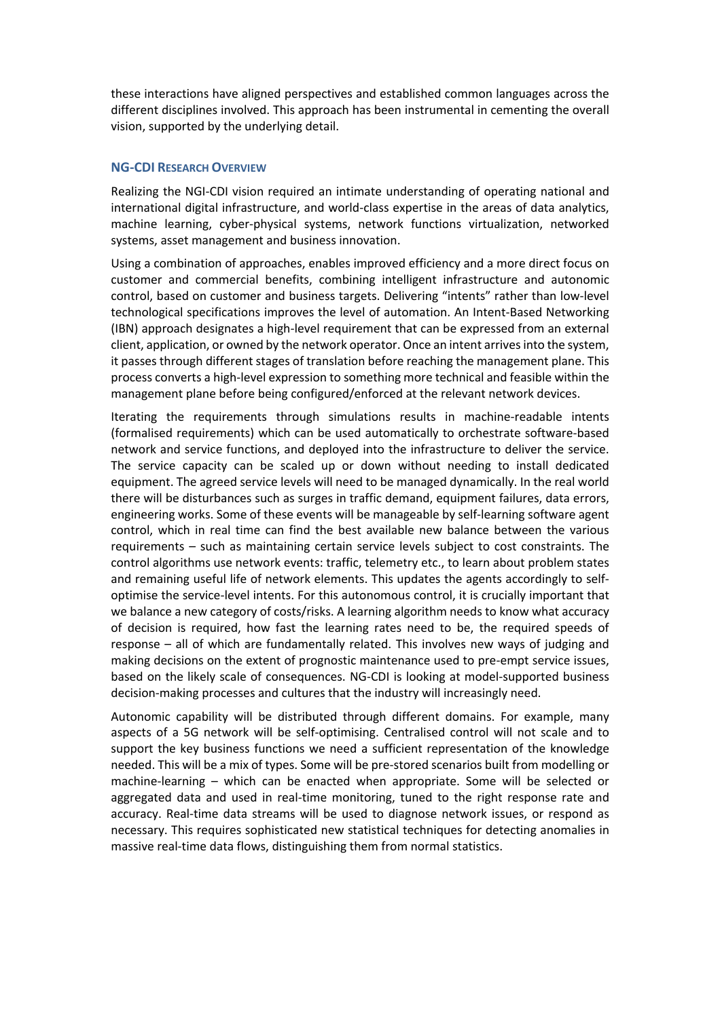these interactions have aligned perspectives and established common languages across the different disciplines involved. This approach has been instrumental in cementing the overall vision, supported by the underlying detail.

# **NG-CDI RESEARCH OVERVIEW**

Realizing the NGI-CDI vision required an intimate understanding of operating national and international digital infrastructure, and world-class expertise in the areas of data analytics, machine learning, cyber-physical systems, network functions virtualization, networked systems, asset management and business innovation.

Using a combination of approaches, enables improved efficiency and a more direct focus on customer and commercial benefits, combining intelligent infrastructure and autonomic control, based on customer and business targets. Delivering "intents" rather than low-level technological specifications improves the level of automation. An Intent-Based Networking (IBN) approach designates a high-level requirement that can be expressed from an external client, application, or owned by the network operator. Once an intent arrives into the system, it passes through different stages of translation before reaching the management plane. This process converts a high-level expression to something more technical and feasible within the management plane before being configured/enforced at the relevant network devices.

Iterating the requirements through simulations results in machine-readable intents (formalised requirements) which can be used automatically to orchestrate software-based network and service functions, and deployed into the infrastructure to deliver the service. The service capacity can be scaled up or down without needing to install dedicated equipment. The agreed service levels will need to be managed dynamically. In the real world there will be disturbances such as surges in traffic demand, equipment failures, data errors, engineering works. Some of these events will be manageable by self-learning software agent control, which in real time can find the best available new balance between the various requirements – such as maintaining certain service levels subject to cost constraints. The control algorithms use network events: traffic, telemetry etc., to learn about problem states and remaining useful life of network elements. This updates the agents accordingly to selfoptimise the service-level intents. For this autonomous control, it is crucially important that we balance a new category of costs/risks. A learning algorithm needs to know what accuracy of decision is required, how fast the learning rates need to be, the required speeds of response – all of which are fundamentally related. This involves new ways of judging and making decisions on the extent of prognostic maintenance used to pre-empt service issues, based on the likely scale of consequences. NG-CDI is looking at model-supported business decision-making processes and cultures that the industry will increasingly need.

Autonomic capability will be distributed through different domains. For example, many aspects of a 5G network will be self-optimising. Centralised control will not scale and to support the key business functions we need a sufficient representation of the knowledge needed. This will be a mix of types. Some will be pre-stored scenarios built from modelling or machine-learning – which can be enacted when appropriate. Some will be selected or aggregated data and used in real-time monitoring, tuned to the right response rate and accuracy. Real-time data streams will be used to diagnose network issues, or respond as necessary. This requires sophisticated new statistical techniques for detecting anomalies in massive real-time data flows, distinguishing them from normal statistics.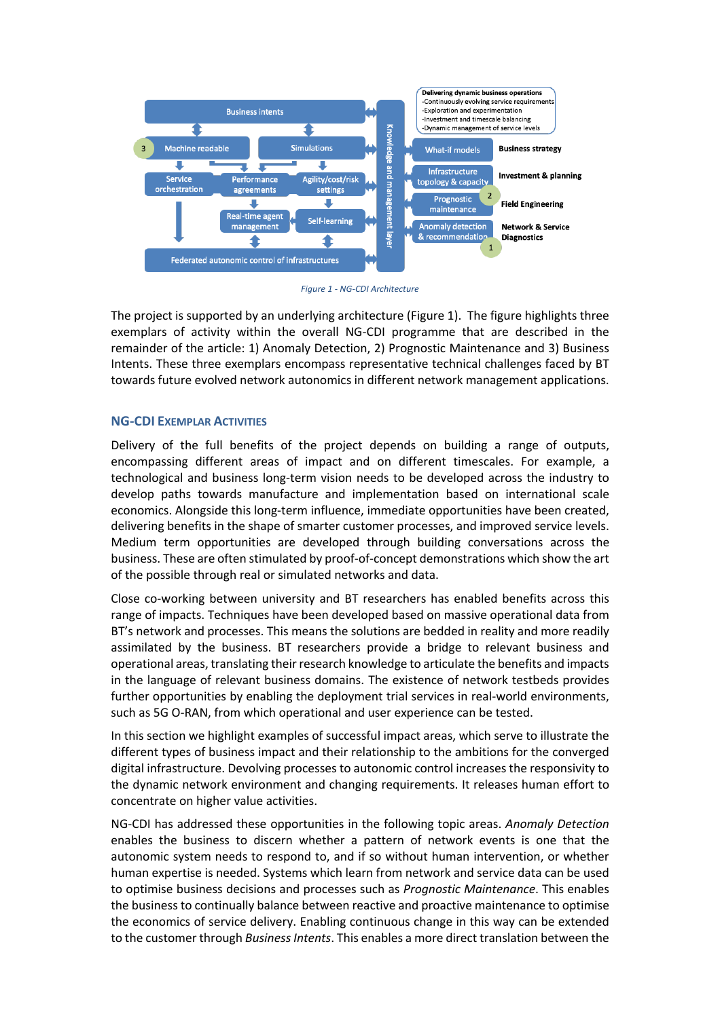

*Figure 1 - NG-CDI Architecture*

The project is supported by an underlying architecture (Figure 1). The figure highlights three exemplars of activity within the overall NG-CDI programme that are described in the remainder of the article: 1) Anomaly Detection, 2) Prognostic Maintenance and 3) Business Intents. These three exemplars encompass representative technical challenges faced by BT towards future evolved network autonomics in different network management applications.

# **NG-CDI EXEMPLAR ACTIVITIES**

Delivery of the full benefits of the project depends on building a range of outputs, encompassing different areas of impact and on different timescales. For example, a technological and business long-term vision needs to be developed across the industry to develop paths towards manufacture and implementation based on international scale economics. Alongside this long-term influence, immediate opportunities have been created, delivering benefits in the shape of smarter customer processes, and improved service levels. Medium term opportunities are developed through building conversations across the business. These are often stimulated by proof-of-concept demonstrations which show the art of the possible through real or simulated networks and data.

Close co-working between university and BT researchers has enabled benefits across this range of impacts. Techniques have been developed based on massive operational data from BT's network and processes. This means the solutions are bedded in reality and more readily assimilated by the business. BT researchers provide a bridge to relevant business and operational areas, translating their research knowledge to articulate the benefits and impacts in the language of relevant business domains. The existence of network testbeds provides further opportunities by enabling the deployment trial services in real-world environments, such as 5G O-RAN, from which operational and user experience can be tested.

In this section we highlight examples of successful impact areas, which serve to illustrate the different types of business impact and their relationship to the ambitions for the converged digital infrastructure. Devolving processes to autonomic control increases the responsivity to the dynamic network environment and changing requirements. It releases human effort to concentrate on higher value activities.

NG-CDI has addressed these opportunities in the following topic areas. *Anomaly Detection* enables the business to discern whether a pattern of network events is one that the autonomic system needs to respond to, and if so without human intervention, or whether human expertise is needed. Systems which learn from network and service data can be used to optimise business decisions and processes such as *Prognostic Maintenance*. This enables the business to continually balance between reactive and proactive maintenance to optimise the economics of service delivery. Enabling continuous change in this way can be extended to the customer through *Business Intents*. This enables a more direct translation between the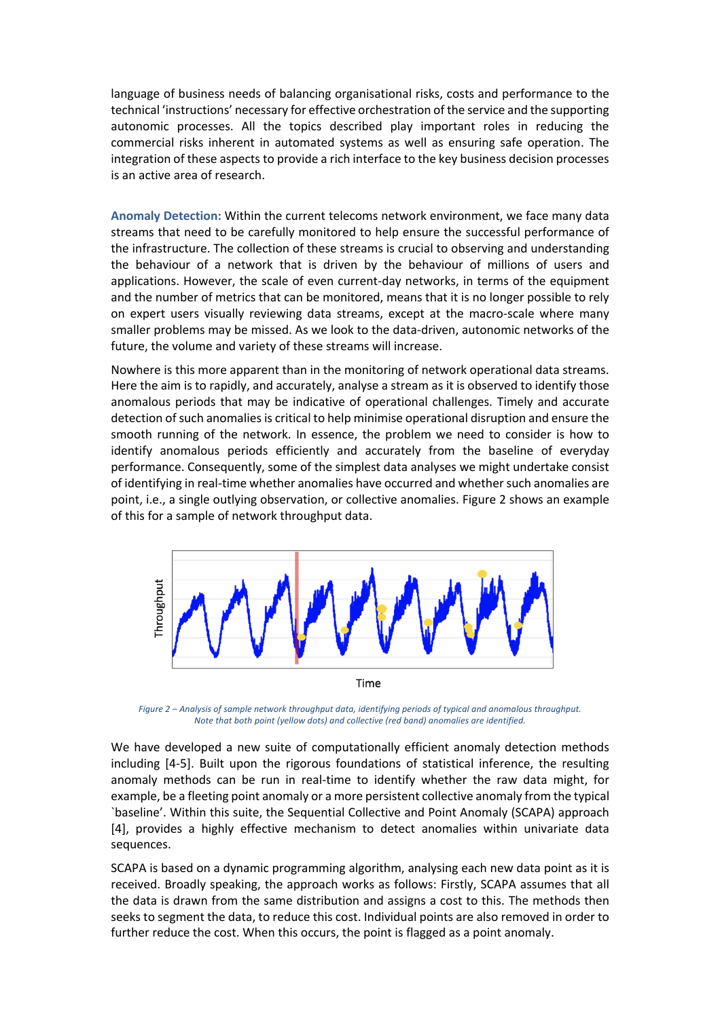language of business needs of balancing organisational risks, costs and performance to the technical 'instructions' necessary for effective orchestration of the service and the supporting autonomic processes. All the topics described play important roles in reducing the commercial risks inherent in automated systems as well as ensuring safe operation. The integration of these aspects to provide a rich interface to the key business decision processes is an active area of research.

**Anomaly Detection:** Within the current telecoms network environment, we face many data streams that need to be carefully monitored to help ensure the successful performance of the infrastructure. The collection of these streams is crucial to observing and understanding the behaviour of a network that is driven by the behaviour of millions of users and applications. However, the scale of even current-day networks, in terms of the equipment and the number of metrics that can be monitored, means that it is no longer possible to rely on expert users visually reviewing data streams, except at the macro-scale where many smaller problems may be missed. As we look to the data-driven, autonomic networks of the future, the volume and variety of these streams will increase.

Nowhere is this more apparent than in the monitoring of network operational data streams. Here the aim is to rapidly, and accurately, analyse a stream as it is observed to identify those anomalous periods that may be indicative of operational challenges. Timely and accurate detection of such anomalies is critical to help minimise operational disruption and ensure the smooth running of the network. In essence, the problem we need to consider is how to identify anomalous periods efficiently and accurately from the baseline of everyday performance. Consequently, some of the simplest data analyses we might undertake consist of identifying in real-time whether anomalies have occurred and whether such anomalies are point, i.e., a single outlying observation, or collective anomalies. Figure 2 shows an example of this for a sample of network throughput data.



*Figure 2 – Analysis of sample network throughput data, identifying periods of typical and anomalous throughput. Note that both point (yellow dots) and collective (red band) anomalies are identified.*

We have developed a new suite of computationally efficient anomaly detection methods including [4-5]. Built upon the rigorous foundations of statistical inference, the resulting anomaly methods can be run in real-time to identify whether the raw data might, for example, be a fleeting point anomaly or a more persistent collective anomaly from the typical `baseline'. Within this suite, the Sequential Collective and Point Anomaly (SCAPA) approach [4], provides a highly effective mechanism to detect anomalies within univariate data sequences.

SCAPA is based on a dynamic programming algorithm, analysing each new data point as it is received. Broadly speaking, the approach works as follows: Firstly, SCAPA assumes that all the data is drawn from the same distribution and assigns a cost to this. The methods then seeks to segment the data, to reduce this cost. Individual points are also removed in order to further reduce the cost. When this occurs, the point is flagged as a point anomaly.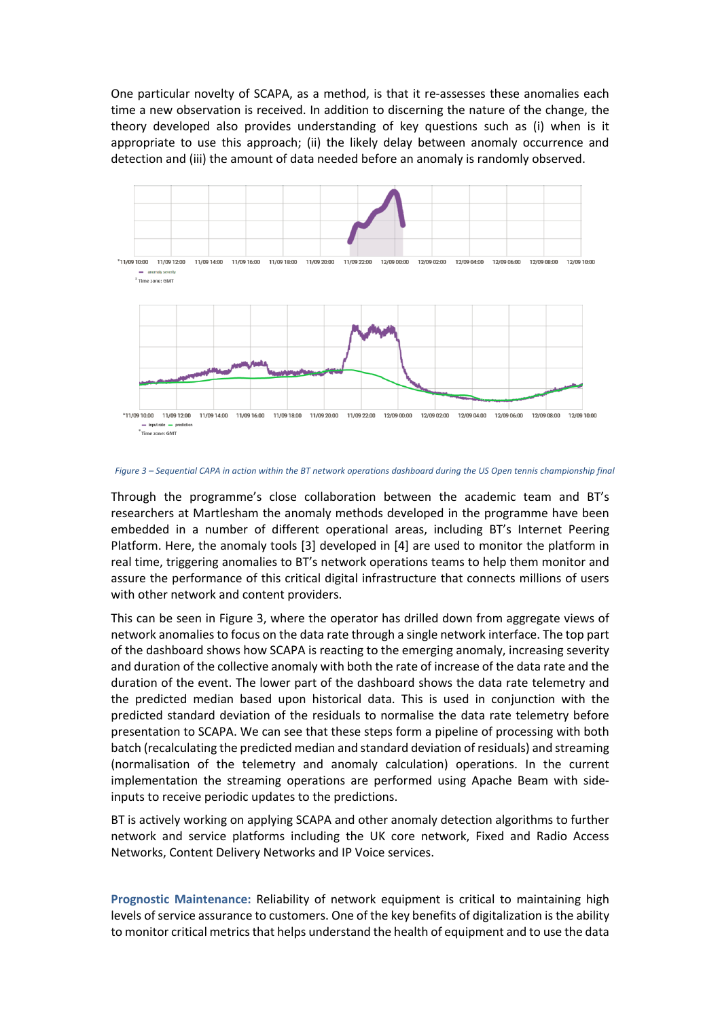One particular novelty of SCAPA, as a method, is that it re-assesses these anomalies each time a new observation is received. In addition to discerning the nature of the change, the theory developed also provides understanding of key questions such as (i) when is it appropriate to use this approach; (ii) the likely delay between anomaly occurrence and detection and (iii) the amount of data needed before an anomaly is randomly observed.



*Figure 3 – Sequential CAPA in action within the BT network operations dashboard during the US Open tennis championship final*

Through the programme's close collaboration between the academic team and BT's researchers at Martlesham the anomaly methods developed in the programme have been embedded in a number of different operational areas, including BT's Internet Peering Platform. Here, the anomaly tools [3] developed in [4] are used to monitor the platform in real time, triggering anomalies to BT's network operations teams to help them monitor and assure the performance of this critical digital infrastructure that connects millions of users with other network and content providers.

This can be seen in Figure 3, where the operator has drilled down from aggregate views of network anomalies to focus on the data rate through a single network interface. The top part of the dashboard shows how SCAPA is reacting to the emerging anomaly, increasing severity and duration of the collective anomaly with both the rate of increase of the data rate and the duration of the event. The lower part of the dashboard shows the data rate telemetry and the predicted median based upon historical data. This is used in conjunction with the predicted standard deviation of the residuals to normalise the data rate telemetry before presentation to SCAPA. We can see that these steps form a pipeline of processing with both batch (recalculating the predicted median and standard deviation of residuals) and streaming (normalisation of the telemetry and anomaly calculation) operations. In the current implementation the streaming operations are performed using Apache Beam with sideinputs to receive periodic updates to the predictions.

BT is actively working on applying SCAPA and other anomaly detection algorithms to further network and service platforms including the UK core network, Fixed and Radio Access Networks, Content Delivery Networks and IP Voice services.

**Prognostic Maintenance:** Reliability of network equipment is critical to maintaining high levels of service assurance to customers. One of the key benefits of digitalization is the ability to monitor critical metrics that helps understand the health of equipment and to use the data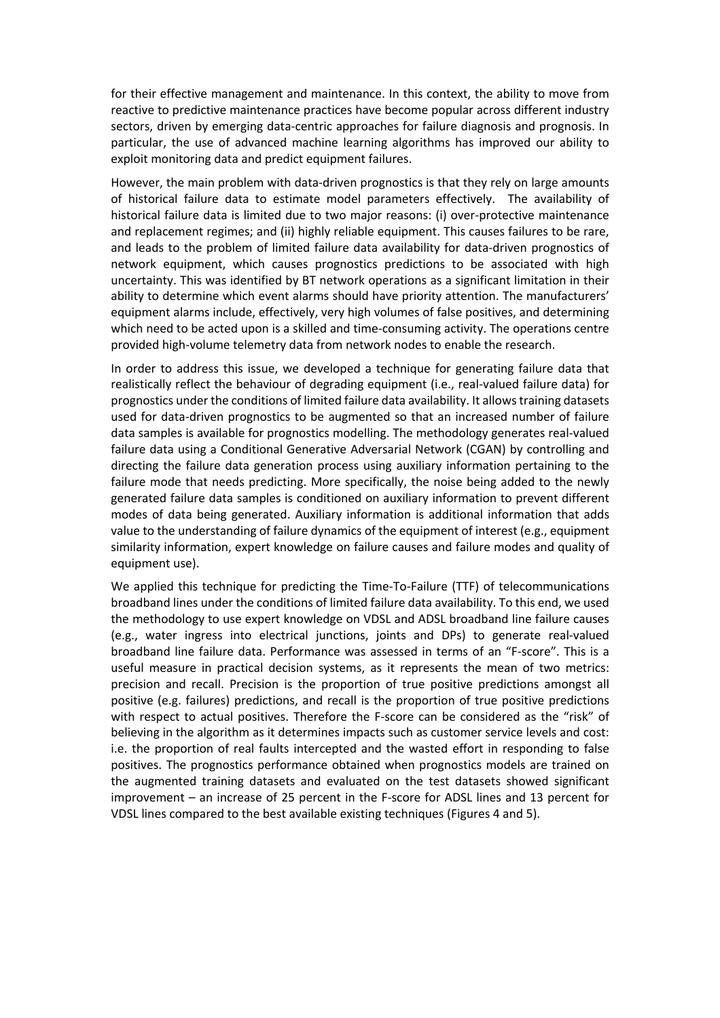for their effective management and maintenance. In this context, the ability to move from reactive to predictive maintenance practices have become popular across different industry sectors, driven by emerging data-centric approaches for failure diagnosis and prognosis. In particular, the use of advanced machine learning algorithms has improved our ability to exploit monitoring data and predict equipment failures.

However, the main problem with data-driven prognostics is that they rely on large amounts of historical failure data to estimate model parameters effectively. The availability of historical failure data is limited due to two major reasons: (i) over-protective maintenance and replacement regimes; and (ii) highly reliable equipment. This causes failures to be rare, and leads to the problem of limited failure data availability for data-driven prognostics of network equipment, which causes prognostics predictions to be associated with high uncertainty. This was identified by BT network operations as a significant limitation in their ability to determine which event alarms should have priority attention. The manufacturers' equipment alarms include, effectively, very high volumes of false positives, and determining which need to be acted upon is a skilled and time-consuming activity. The operations centre provided high-volume telemetry data from network nodes to enable the research.

In order to address this issue, we developed a technique for generating failure data that realistically reflect the behaviour of degrading equipment (i.e., real-valued failure data) for prognostics under the conditions of limited failure data availability. It allows training datasets used for data-driven prognostics to be augmented so that an increased number of failure data samples is available for prognostics modelling. The methodology generates real-valued failure data using a Conditional Generative Adversarial Network (CGAN) by controlling and directing the failure data generation process using auxiliary information pertaining to the failure mode that needs predicting. More specifically, the noise being added to the newly generated failure data samples is conditioned on auxiliary information to prevent different modes of data being generated. Auxiliary information is additional information that adds value to the understanding of failure dynamics of the equipment of interest (e.g., equipment similarity information, expert knowledge on failure causes and failure modes and quality of equipment use).

We applied this technique for predicting the Time-To-Failure (TTF) of telecommunications broadband lines under the conditions of limited failure data availability. To this end, we used the methodology to use expert knowledge on VDSL and ADSL broadband line failure causes (e.g., water ingress into electrical junctions, joints and DPs) to generate real-valued broadband line failure data. Performance was assessed in terms of an "F-score". This is a useful measure in practical decision systems, as it represents the mean of two metrics: precision and recall. Precision is the proportion of true positive predictions amongst all positive (e.g. failures) predictions, and recall is the proportion of true positive predictions with respect to actual positives. Therefore the F-score can be considered as the "risk" of believing in the algorithm as it determines impacts such as customer service levels and cost: i.e. the proportion of real faults intercepted and the wasted effort in responding to false positives. The prognostics performance obtained when prognostics models are trained on the augmented training datasets and evaluated on the test datasets showed significant improvement – an increase of 25 percent in the F-score for ADSL lines and 13 percent for VDSL lines compared to the best available existing techniques (Figures 4 and 5).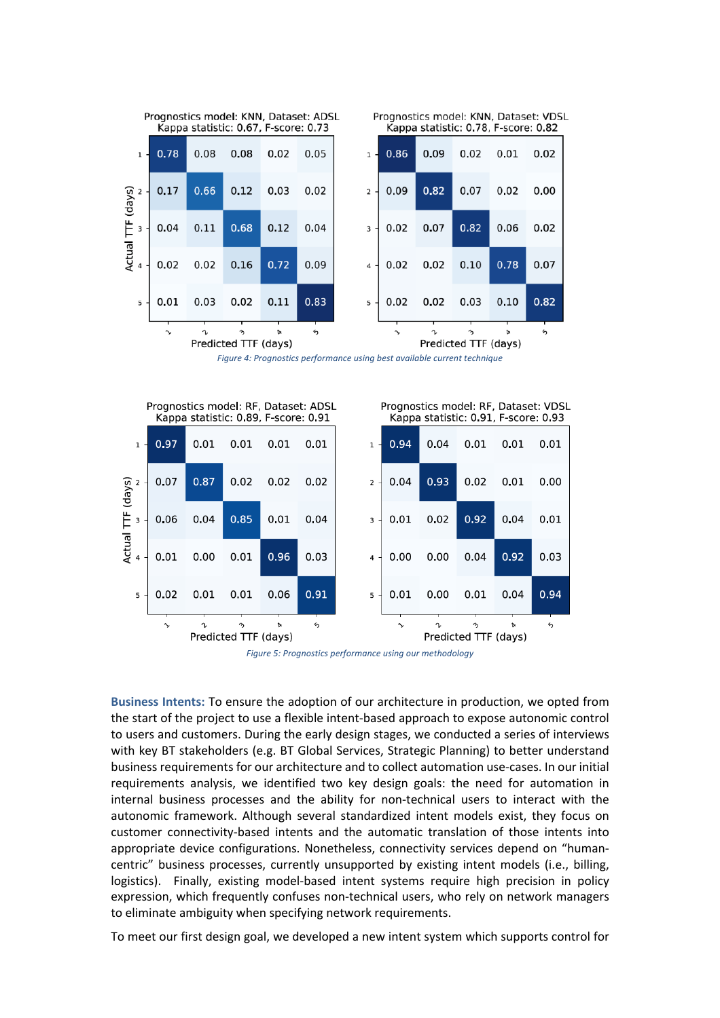

*Figure 4: Prognostics performance using best available current technique*



*Figure 5: Prognostics performance using our methodology*

**Business Intents:** To ensure the adoption of our architecture in production, we opted from the start of the project to use a flexible intent-based approach to expose autonomic control to users and customers. During the early design stages, we conducted a series of interviews with key BT stakeholders (e.g. BT Global Services, Strategic Planning) to better understand business requirements for our architecture and to collect automation use-cases. In our initial requirements analysis, we identified two key design goals: the need for automation in internal business processes and the ability for non-technical users to interact with the autonomic framework. Although several standardized intent models exist, they focus on customer connectivity-based intents and the automatic translation of those intents into appropriate device configurations. Nonetheless, connectivity services depend on "humancentric" business processes, currently unsupported by existing intent models (i.e., billing, logistics). Finally, existing model-based intent systems require high precision in policy expression, which frequently confuses non-technical users, who rely on network managers to eliminate ambiguity when specifying network requirements.

To meet our first design goal, we developed a new intent system which supports control for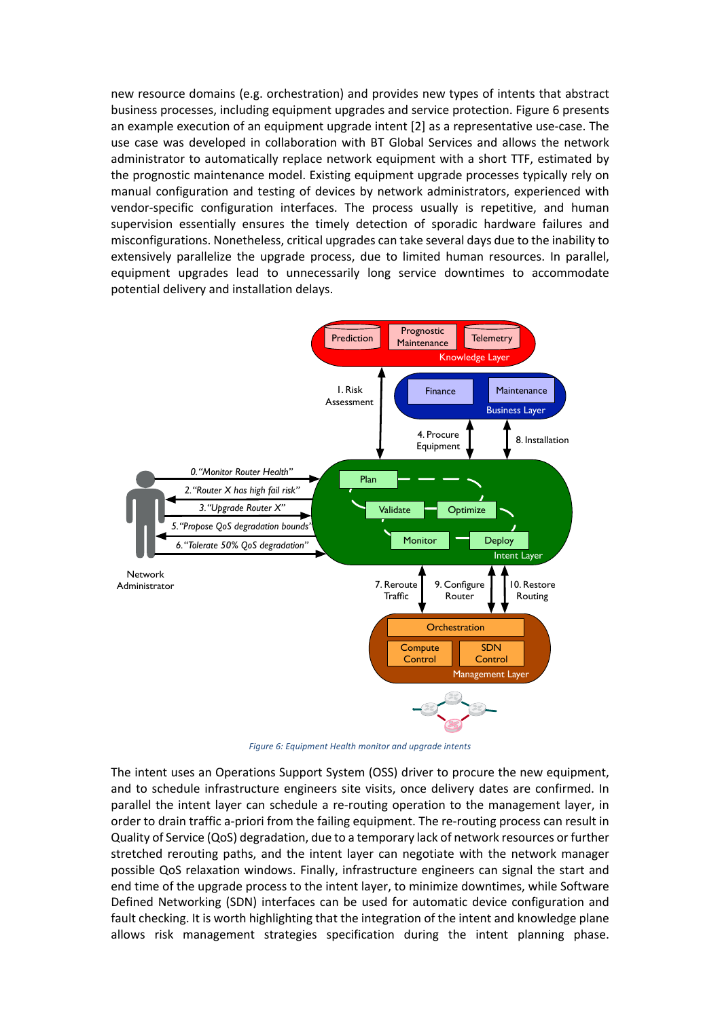new resource domains (e.g. orchestration) and provides new types of intents that abstract business processes, including equipment upgrades and service protection. Figure 6 presents an example execution of an equipment upgrade intent [2] as a representative use-case. The use case was developed in collaboration with BT Global Services and allows the network administrator to automatically replace network equipment with a short TTF, estimated by the prognostic maintenance model. Existing equipment upgrade processes typically rely on manual configuration and testing of devices by network administrators, experienced with vendor-specific configuration interfaces. The process usually is repetitive, and human supervision essentially ensures the timely detection of sporadic hardware failures and misconfigurations. Nonetheless, critical upgrades can take several days due to the inability to extensively parallelize the upgrade process, due to limited human resources. In parallel, equipment upgrades lead to unnecessarily long service downtimes to accommodate potential delivery and installation delays.



*Figure 6: Equipment Health monitor and upgrade intents*

The intent uses an Operations Support System (OSS) driver to procure the new equipment, and to schedule infrastructure engineers site visits, once delivery dates are confirmed. In parallel the intent layer can schedule a re-routing operation to the management layer, in order to drain traffic a-priori from the failing equipment. The re-routing process can result in Quality of Service (QoS) degradation, due to a temporary lack of network resources or further stretched rerouting paths, and the intent layer can negotiate with the network manager possible QoS relaxation windows. Finally, infrastructure engineers can signal the start and end time of the upgrade process to the intent layer, to minimize downtimes, while Software Defined Networking (SDN) interfaces can be used for automatic device configuration and fault checking. It is worth highlighting that the integration of the intent and knowledge plane allows risk management strategies specification during the intent planning phase.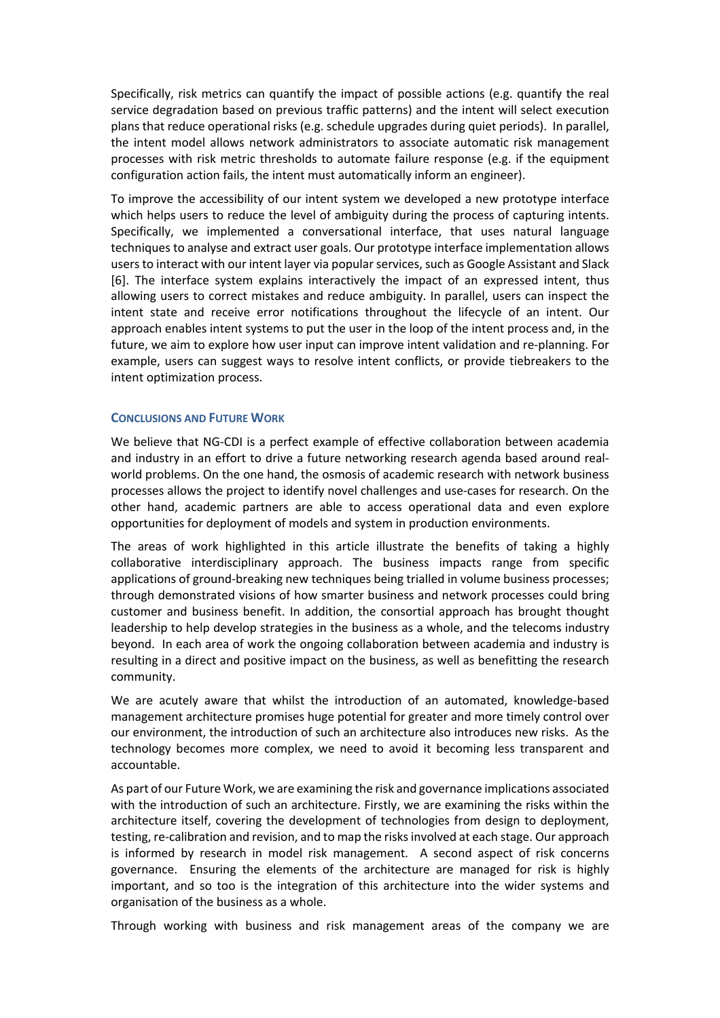Specifically, risk metrics can quantify the impact of possible actions (e.g. quantify the real service degradation based on previous traffic patterns) and the intent will select execution plans that reduce operational risks (e.g. schedule upgrades during quiet periods). In parallel, the intent model allows network administrators to associate automatic risk management processes with risk metric thresholds to automate failure response (e.g. if the equipment configuration action fails, the intent must automatically inform an engineer).

To improve the accessibility of our intent system we developed a new prototype interface which helps users to reduce the level of ambiguity during the process of capturing intents. Specifically, we implemented a conversational interface, that uses natural language techniques to analyse and extract user goals. Our prototype interface implementation allows users to interact with our intent layer via popularservices, such as Google Assistant and Slack [6]. The interface system explains interactively the impact of an expressed intent, thus allowing users to correct mistakes and reduce ambiguity. In parallel, users can inspect the intent state and receive error notifications throughout the lifecycle of an intent. Our approach enables intent systems to put the user in the loop of the intent process and, in the future, we aim to explore how user input can improve intent validation and re-planning. For example, users can suggest ways to resolve intent conflicts, or provide tiebreakers to the intent optimization process.

## **CONCLUSIONS AND FUTURE WORK**

We believe that NG-CDI is a perfect example of effective collaboration between academia and industry in an effort to drive a future networking research agenda based around realworld problems. On the one hand, the osmosis of academic research with network business processes allows the project to identify novel challenges and use-cases for research. On the other hand, academic partners are able to access operational data and even explore opportunities for deployment of models and system in production environments.

The areas of work highlighted in this article illustrate the benefits of taking a highly collaborative interdisciplinary approach. The business impacts range from specific applications of ground-breaking new techniques being trialled in volume business processes; through demonstrated visions of how smarter business and network processes could bring customer and business benefit. In addition, the consortial approach has brought thought leadership to help develop strategies in the business as a whole, and the telecoms industry beyond. In each area of work the ongoing collaboration between academia and industry is resulting in a direct and positive impact on the business, as well as benefitting the research community.

We are acutely aware that whilst the introduction of an automated, knowledge-based management architecture promises huge potential for greater and more timely control over our environment, the introduction of such an architecture also introduces new risks. As the technology becomes more complex, we need to avoid it becoming less transparent and accountable.

As part of our Future Work, we are examining the risk and governance implications associated with the introduction of such an architecture. Firstly, we are examining the risks within the architecture itself, covering the development of technologies from design to deployment, testing, re-calibration and revision, and to map the risks involved at each stage. Our approach is informed by research in model risk management. A second aspect of risk concerns governance. Ensuring the elements of the architecture are managed for risk is highly important, and so too is the integration of this architecture into the wider systems and organisation of the business as a whole.

Through working with business and risk management areas of the company we are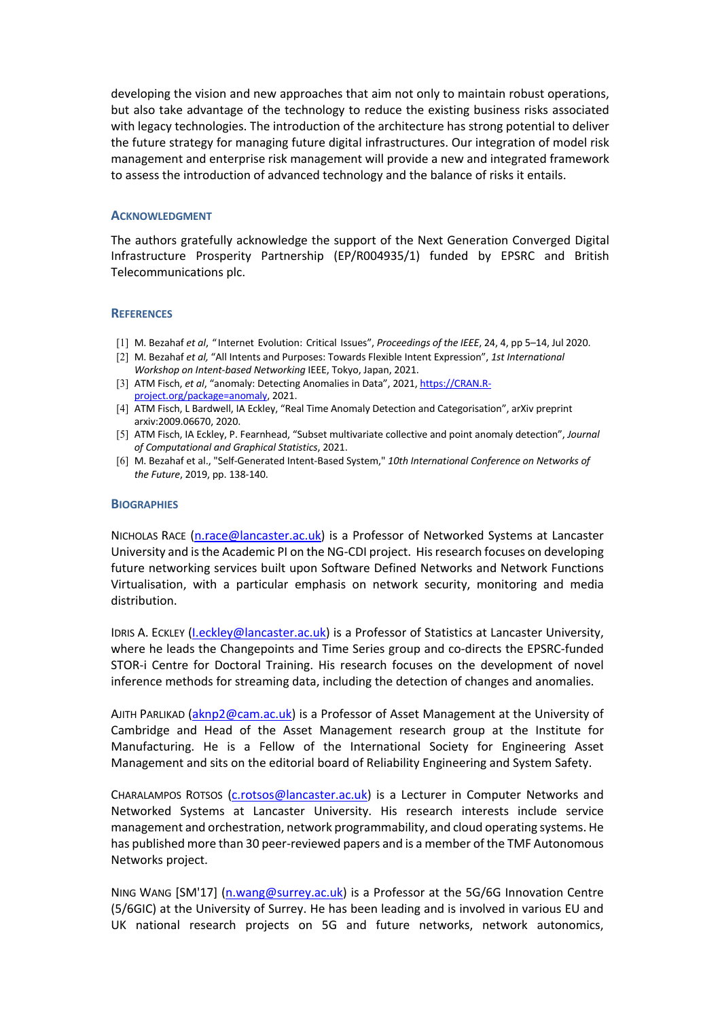developing the vision and new approaches that aim not only to maintain robust operations, but also take advantage of the technology to reduce the existing business risks associated with legacy technologies. The introduction of the architecture has strong potential to deliver the future strategy for managing future digital infrastructures. Our integration of model risk management and enterprise risk management will provide a new and integrated framework to assess the introduction of advanced technology and the balance of risks it entails.

### **ACKNOWLEDGMENT**

The authors gratefully acknowledge the support of the Next Generation Converged Digital Infrastructure Prosperity Partnership (EP/R004935/1) funded by EPSRC and British Telecommunications plc.

### **REFERENCES**

- [1] M. Bezahaf *et al*, " Internet Evolution: Critical Issues", *Proceedings of the IEEE*, 24, 4, pp 5–14, Jul 2020.
- [2] M. Bezahaf *et al,* "All Intents and Purposes: Towards Flexible Intent Expression", *1st International Workshop on Intent-based Networking* IEEE, Tokyo, Japan, 2021.
- [3] ATM Fisch, *et al*, "anomaly: Detecting Anomalies in Data", 2021, https://CRAN.Rproject.org/package=anomaly, 2021.
- [4] ATM Fisch, L Bardwell, IA Eckley, "Real Time Anomaly Detection and Categorisation", arXiv preprint arxiv:2009.06670, 2020.
- [5] ATM Fisch, IA Eckley, P. Fearnhead, "Subset multivariate collective and point anomaly detection", *Journal of Computational and Graphical Statistics*, 2021.
- [6] M. Bezahaf et al., "Self-Generated Intent-Based System," *10th International Conference on Networks of the Future*, 2019, pp. 138-140.

#### **BIOGRAPHIES**

NICHOLAS RACE (n.race@lancaster.ac.uk) is a Professor of Networked Systems at Lancaster University and is the Academic PI on the NG-CDI project. His research focuses on developing future networking services built upon Software Defined Networks and Network Functions Virtualisation, with a particular emphasis on network security, monitoring and media distribution.

IDRIS A. ECKLEY (I.eckley@lancaster.ac.uk) is a Professor of Statistics at Lancaster University, where he leads the Changepoints and Time Series group and co-directs the EPSRC-funded STOR-i Centre for Doctoral Training. His research focuses on the development of novel inference methods for streaming data, including the detection of changes and anomalies.

AJITH PARLIKAD (aknp2@cam.ac.uk) is a Professor of Asset Management at the University of Cambridge and Head of the Asset Management research group at the Institute for Manufacturing. He is a Fellow of the International Society for Engineering Asset Management and sits on the editorial board of Reliability Engineering and System Safety.

CHARALAMPOS ROTSOS (c.rotsos@lancaster.ac.uk) is a Lecturer in Computer Networks and Networked Systems at Lancaster University. His research interests include service management and orchestration, network programmability, and cloud operating systems. He has published more than 30 peer-reviewed papers and is a member of the TMF Autonomous Networks project.

NING WANG [SM'17] (n.wang@surrey.ac.uk) is a Professor at the 5G/6G Innovation Centre (5/6GIC) at the University of Surrey. He has been leading and is involved in various EU and UK national research projects on 5G and future networks, network autonomics,